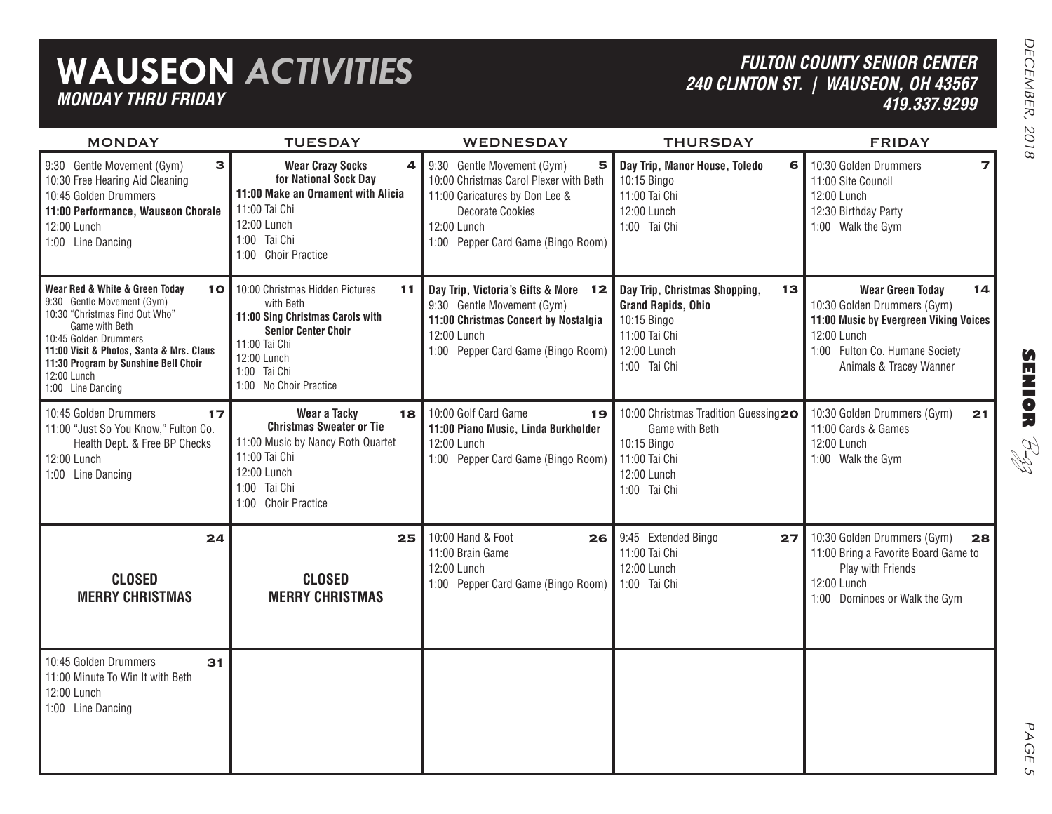## **WAUSEON** *ACTIVITIES MONDAY THRU FRIDAY*

### *FULTON COUNTY SENIOR CENTER 240 CLINTON ST. | WAUSEON, OH 43567 419.337.9299*

| <b>MONDAY</b>                                                                                                                                                                                                                                                                        | <b>TUESDAY</b>                                                                                                                                                                                 | <b>WEDNESDAY</b>                                                                                                                                                                            | <b>THURSDAY</b>                                                                                                                 | <b>FRIDAY</b>                                                                                                                                                                      |
|--------------------------------------------------------------------------------------------------------------------------------------------------------------------------------------------------------------------------------------------------------------------------------------|------------------------------------------------------------------------------------------------------------------------------------------------------------------------------------------------|---------------------------------------------------------------------------------------------------------------------------------------------------------------------------------------------|---------------------------------------------------------------------------------------------------------------------------------|------------------------------------------------------------------------------------------------------------------------------------------------------------------------------------|
| 3<br>9:30 Gentle Movement (Gym)<br>10:30 Free Hearing Aid Cleaning<br>10:45 Golden Drummers<br>11:00 Performance, Wauseon Chorale<br>12:00 Lunch<br>1:00 Line Dancing                                                                                                                | <b>Wear Crazy Socks</b><br>4<br>for National Sock Day<br>11:00 Make an Ornament with Alicia<br>11:00 Tai Chi<br>12:00 Lunch<br>1:00 Tai Chi<br>1:00 Choir Practice                             | 5<br>9:30 Gentle Movement (Gym)<br>10:00 Christmas Carol Plexer with Beth<br>11:00 Caricatures by Don Lee &<br><b>Decorate Cookies</b><br>12:00 Lunch<br>1:00 Pepper Card Game (Bingo Room) | Day Trip, Manor House, Toledo<br>6<br>10:15 Bingo<br>11:00 Tai Chi<br>12:00 Lunch<br>1:00 Tai Chi                               | $\overline{\mathbf{z}}$<br>10:30 Golden Drummers<br>11:00 Site Council<br>12:00 Lunch<br>12:30 Birthday Party<br>1:00 Walk the Gym                                                 |
| Wear Red & White & Green Today<br>10 <sub>1</sub><br>9:30 Gentle Movement (Gym)<br>10:30 "Christmas Find Out Who"<br>Game with Beth<br>10:45 Golden Drummers<br>11:00 Visit & Photos, Santa & Mrs. Claus<br>11:30 Program by Sunshine Bell Choir<br>12:00 Lunch<br>1:00 Line Dancing | 10:00 Christmas Hidden Pictures<br>11<br>with Beth<br>11:00 Sing Christmas Carols with<br><b>Senior Center Choir</b><br>11:00 Tai Chi<br>12:00 Lunch<br>1:00 Tai Chi<br>1:00 No Choir Practice | Day Trip, Victoria's Gifts & More 12<br>9:30 Gentle Movement (Gym)<br>11:00 Christmas Concert by Nostalgia<br>12:00 Lunch<br>1:00 Pepper Card Game (Bingo Room)                             | Day Trip, Christmas Shopping,<br>13<br><b>Grand Rapids, Ohio</b><br>10:15 Bingo<br>11:00 Tai Chi<br>12:00 Lunch<br>1:00 Tai Chi | 14<br><b>Wear Green Today</b><br>10:30 Golden Drummers (Gym)<br>11:00 Music by Evergreen Viking Voices<br>12:00 Lunch<br>1:00 Fulton Co. Humane Society<br>Animals & Tracey Wanner |
| 10:45 Golden Drummers<br>17<br>11:00 "Just So You Know," Fulton Co.<br>Health Dept. & Free BP Checks<br>12:00 Lunch<br>1:00 Line Dancing                                                                                                                                             | Wear a Tacky<br>18<br><b>Christmas Sweater or Tie</b><br>11:00 Music by Nancy Roth Quartet<br>11:00 Tai Chi<br>12:00 Lunch<br>1:00 Tai Chi<br>1:00 Choir Practice                              | 10:00 Golf Card Game<br>19<br>11:00 Piano Music, Linda Burkholder<br>12:00 Lunch<br>1:00 Pepper Card Game (Bingo Room)                                                                      | 10:00 Christmas Tradition Guessing20<br>Game with Beth<br>10:15 Bingo<br>11:00 Tai Chi<br>12:00 Lunch<br>1:00 Tai Chi           | 10:30 Golden Drummers (Gym)<br>21<br>11:00 Cards & Games<br>12:00 Lunch<br>1:00 Walk the Gym                                                                                       |
| 24<br><b>CLOSED</b><br><b>MERRY CHRISTMAS</b>                                                                                                                                                                                                                                        | 25 <sub>1</sub><br><b>CLOSED</b><br><b>MERRY CHRISTMAS</b>                                                                                                                                     | 10:00 Hand & Foot<br>26<br>11:00 Brain Game<br>12:00 Lunch<br>1:00 Pepper Card Game (Bingo Room)                                                                                            | 9:45 Extended Bingo<br>27<br>11:00 Tai Chi<br>12:00 Lunch<br>1:00 Tai Chi                                                       | 10:30 Golden Drummers (Gym)<br>28<br>11:00 Bring a Favorite Board Game to<br>Play with Friends<br>12:00 Lunch<br>1:00 Dominoes or Walk the Gym                                     |
| 10:45 Golden Drummers<br>31<br>11:00 Minute To Win It with Beth<br>12:00 Lunch<br>1:00 Line Dancing                                                                                                                                                                                  |                                                                                                                                                                                                |                                                                                                                                                                                             |                                                                                                                                 |                                                                                                                                                                                    |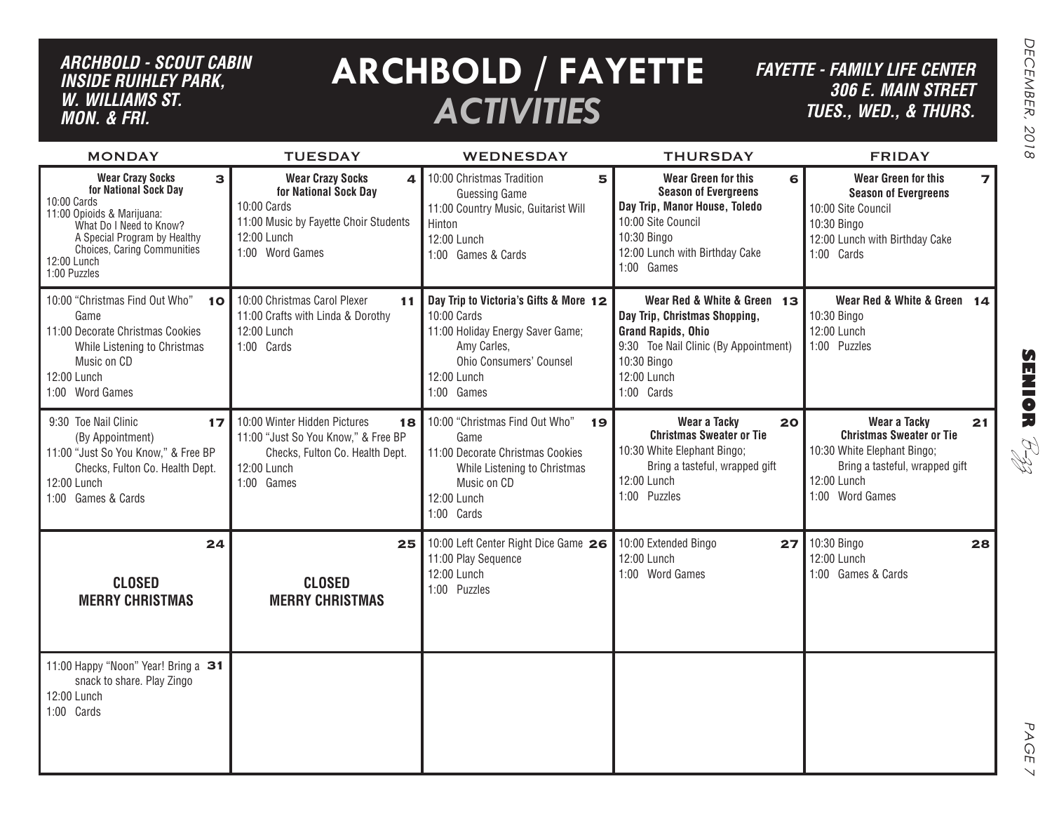#### *ARCHBOLD - SCOUT CABIN inside ruihley park, w. williams st. MON. & FRI.*

## **ARCHBOLD / FAYETTE** *ACTIVITIES*

*FAYETTE - FAMILY LIFE CENTER306 E. Main Street TUES., Wed., & THURS.*

| <b>MONDAY</b>                                                                                                                                                                                                               | <b>TUESDAY</b>                                                                                                                                  | <b>WEDNESDAY</b>                                                                                                                                                 | <b>THURSDAY</b>                                                                                                                                                                | <b>FRIDAY</b>                                                                                                                                                             |
|-----------------------------------------------------------------------------------------------------------------------------------------------------------------------------------------------------------------------------|-------------------------------------------------------------------------------------------------------------------------------------------------|------------------------------------------------------------------------------------------------------------------------------------------------------------------|--------------------------------------------------------------------------------------------------------------------------------------------------------------------------------|---------------------------------------------------------------------------------------------------------------------------------------------------------------------------|
| <b>Wear Crazy Socks</b><br>3<br>for National Sock Day<br>10:00 Cards<br>11:00 Opioids & Marijuana:<br>What Do I Need to Know?<br>A Special Program by Healthy<br>Choices, Caring Communities<br>12:00 Lunch<br>1:00 Puzzles | <b>Wear Crazy Socks</b><br>4<br>for National Sock Day<br>10:00 Cards<br>11:00 Music by Fayette Choir Students<br>12:00 Lunch<br>1:00 Word Games | 10:00 Christmas Tradition<br>5<br><b>Guessing Game</b><br>11:00 Country Music, Guitarist Will<br>Hinton<br>12:00 Lunch<br>1:00 Games & Cards                     | Wear Green for this<br>6<br><b>Season of Evergreens</b><br>Day Trip, Manor House, Toledo<br>10:00 Site Council<br>10:30 Bingo<br>12:00 Lunch with Birthday Cake<br>1:00 Games  | <b>Wear Green for this</b><br>$\overline{\mathbf{z}}$<br><b>Season of Evergreens</b><br>10:00 Site Council<br>10:30 Bingo<br>12:00 Lunch with Birthday Cake<br>1:00 Cards |
| 10:00 "Christmas Find Out Who"<br>10<br>Game<br>11:00 Decorate Christmas Cookies<br>While Listening to Christmas<br>Music on CD<br>12:00 Lunch<br>1:00 Word Games                                                           | 10:00 Christmas Carol Plexer<br>11 <sup>1</sup><br>11:00 Crafts with Linda & Dorothy<br>12:00 Lunch<br>1:00 Cards                               | Day Trip to Victoria's Gifts & More 12<br>10:00 Cards<br>11:00 Holiday Energy Saver Game;<br>Amy Carles,<br>Ohio Consumers' Counsel<br>12:00 Lunch<br>1:00 Games | Wear Red & White & Green 13<br>Day Trip, Christmas Shopping,<br><b>Grand Rapids, Ohio</b><br>9:30 Toe Nail Clinic (By Appointment)<br>10:30 Bingo<br>12:00 Lunch<br>1:00 Cards | Wear Red & White & Green 14<br>10:30 Bingo<br>12:00 Lunch<br>1:00 Puzzles                                                                                                 |
| 9:30 Toe Nail Clinic<br>17<br>(By Appointment)<br>11:00 "Just So You Know," & Free BP<br>Checks, Fulton Co. Health Dept.<br>12:00 Lunch<br>1:00 Games & Cards                                                               | 10:00 Winter Hidden Pictures<br>18<br>11:00 "Just So You Know," & Free BP<br>Checks, Fulton Co. Health Dept.<br>12:00 Lunch<br>1:00 Games       | 10:00 "Christmas Find Out Who"<br>19<br>Game<br>11:00 Decorate Christmas Cookies<br>While Listening to Christmas<br>Music on CD<br>12:00 Lunch<br>1:00 Cards     | Wear a Tacky<br>20<br><b>Christmas Sweater or Tie</b><br>10:30 White Elephant Bingo;<br>Bring a tasteful, wrapped gift<br>12:00 Lunch<br>1:00 Puzzles                          | Wear a Tacky<br>21<br><b>Christmas Sweater or Tie</b><br>10:30 White Elephant Bingo;<br>Bring a tasteful, wrapped gift<br>12:00 Lunch<br>1:00 Word Games                  |
| 24<br><b>CLOSED</b><br><b>MERRY CHRISTMAS</b>                                                                                                                                                                               | 25<br><b>CLOSED</b><br><b>MERRY CHRISTMAS</b>                                                                                                   | 10:00 Left Center Right Dice Game 26<br>11:00 Play Sequence<br>12:00 Lunch<br>1:00 Puzzles                                                                       | 10:00 Extended Bingo<br>27<br>12:00 Lunch<br>1:00 Word Games                                                                                                                   | 10:30 Bingo<br>28<br>12:00 Lunch<br>1:00 Games & Cards                                                                                                                    |
| 11:00 Happy "Noon" Year! Bring a 31<br>snack to share. Play Zingo<br>12:00 Lunch<br>1:00 Cards                                                                                                                              |                                                                                                                                                 |                                                                                                                                                                  |                                                                                                                                                                                |                                                                                                                                                                           |

**SENIOR**

B-zz